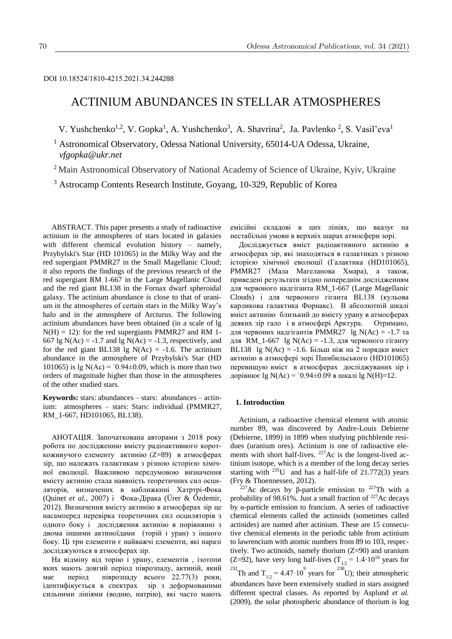## DOI 10.18524/1810-4215.2021.34.244288

# ACTINIUM ABUNDANCES IN STELLAR ATMOSPHERES

V. Yushchenko<sup>1,2</sup>, V. Gopka<sup>1</sup>, A. Yushchenko<sup>3</sup>, A. Shavrina<sup>2</sup>, Ja. Pavlenko<sup>2</sup>, S. Vasil'eva<sup>1</sup>

<sup>1</sup> Astronomical Observatory, Odessa National University, 65014-UA Odessa, Ukraine, *vfgopka@ukr.net*

<sup>2</sup> Main Astronomical Observatory of National Academy of Science of Ukraine, Kyiv, Ukraine

<sup>3</sup> Astrocamp Contents Research Institute, Goyang, 10-329, Republic of Korea

ABSTRACT. This paper presents a study of radioactive actinium in the atmospheres of stars located in galaxies with different chemical evolution history – namely, Przybylski's Star (HD 101065) in the Milky Way and the red supergiant PMMR27 in the Small Magellanic Cloud; it also reports the findings of the previous research of the red supergiant RM 1-667 in the Large Magellanic Cloud and the red giant BL138 in the Fornax dwarf spheroidal galaxy. The actinium abundance is close to that of uranium in the atmospheres of certain stars in the Milky Way's halo and in the atmosphere of Arcturus. The following actinium abundances have been obtained (in a scale of lg  $N(H) = 12$ ): for the red supergiants PMMR27 and RM 1-667 lg N(Ac) = -1.7 and lg N(Ac) = -1.3, respectively, and for the red giant BL138 lg  $N(Ac) = -1.6$ . The actinium abundance in the atmosphere of Przybylski's Star (HD 101065) is  $\lg N(Ac) = 0.94 \pm 0.09$ , which is more than two orders of magnitude higher than those in the atmospheres of the other studied stars.

**Keywords:** stars: abundances – stars: abundances – actinium: atmospheres – stars: Stars: individual (PMMR27, RM\_1-667, HD101065, BL138).

АНОТАЦІЯ. Започаткована авторами з 2018 року робота по дослідженню вмісту радіоактивного короткоживучого елементу актинію (Z=89) в атмосферах зір, що належать галактикам з різною історією хімічної еволюції. Важливою передумовою визначення вмісту актинію стала наявність теоретичних сил осциляторів, визначених в наближкнні Хатртрі-Фока (Quinet *et al.,* 2007) і Фока-Дірака (Ürer & Özdemir, 2012). Визначення вмісту актинію в атмосферах зір це насамперед перевірка теоретичних сил осциляторів з одного боку і дослідження актинію в порівнянні з двома іншими актиноїдами (торій і уран) з іншого боку. Ці три елементи є найважчі елементи, які наразі досліджуються в атмосферах зір.

На відміну від торію і урану, елементів , ізотопи яких мають довгий період піврозпаду, актиній, який має період піврозпаду всього 22.77(3) роки, ідентифікується в спектрах зір з деформованими сильними лініями (водню, натрію), які часто мають

емісійні складові в цих лініях, що вказує на нестабільні умови в верхніх шарах атмосфери зорі.

Досліджується вміст радіоактивного актинію в атмосферах зір, які знаходяться в галактиках з різною історією хімічної еволюції (Галактика (HD101065), PMMR27 (Мала Магеланова Хмара), а також, приведені результати згідно попереднім дослідженням для червоного надгіганта RM\_1-667 (Large Magellanic Clouds) і для червоного гіганта BL138 (кульова карликова галактика Форнакс). В абсолютній шкалі вміст актинію близький до вмісту урану в атмосферах деяких зір гало і в атмосфері Арктура. Отримано, для червоних надгігантів PMMR27 lg N(Ac) = -1.7 та для RM\_1-667 lg N(Ac) = -1.3, для червоного гіганту BL138 lg N(Ac) =  $-1.6$ . Більш ніж на 2 порядки вміст актинію в атмосфері зорі Пшибильського (HD101065) перевищую вміст в атмосферах досліджуваних зір і дорівнює  $\lg N(Ac) = 0.94 \pm 0.09$  в шкалі  $\lg N(H) = 12$ .

## **1. Introduction**

Actinium, a radioactive chemical element with atomic number 89, was discovered by Andre-Louis Debierne (Debierne, 1899) in 1899 when studying pitchblende residues (uranium ores). Actinium is one of radioactive elements with short half-lives. <sup>227</sup>Ac is the longest*-*lived actinium isotope, which is a member of the long decay series starting with <sup>235</sup>U and has a half-life of  $21.772(3)$  years (Fry & Thoennessen, 2012).

<sup>227</sup>Ac decays by β-particle emission to <sup>227</sup>Th with a probability of  $98.61\%$ . Just a small fraction of <sup>227</sup>Ac decays by α-particle emission to francium. A series of radioactive chemical elements called the actinoids (sometimes called actinides) are named after actinium. These are 15 consecutive chemical elements in the periodic table from actinium to lawrencium with atomic numbers from 89 to 103, respectively. Two actinoids, namely thorium (Z=90) and uranium (Z=92), have very long half-lives ( $T_{1/2} = 1.4 \cdot 10^{10}$  years for <sup>232</sup>Th and T<sub>1/2</sub> = 4.47·10<sup>9</sup> years for <sup>238</sup>U); their atmospheric abundances have been extensively studied in stars assigned different spectral classes. As reported by Asplund *et al.*  (2009), the solar photospheric abundance of thorium is log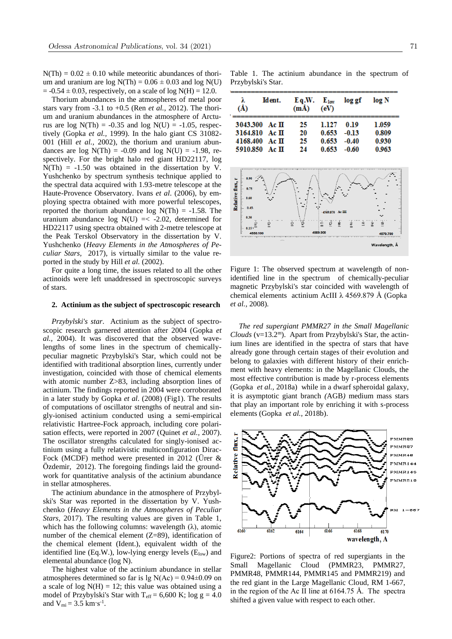$N(Th) = 0.02 \pm 0.10$  while meteoritic abundances of thorium and uranium are  $log N(Th) = 0.06 \pm 0.03$  and  $log N(U)$  $= -0.54 \pm 0.03$ , respectively, on a scale of log N(H) = 12.0.

Thorium abundances in the atmospheres of metal poor stars vary from -3.1 to +0.5 (Ren *et al.,* 2012). The thorium and uranium abundances in the atmosphere of Arcturus are  $log N(Th) = -0.35$  and  $log N(U) = -1.05$ , respectively (Gopka *et al.,* 1999). In the halo giant CS 31082- 001 (Hill *et al.,* 2002), the thorium and uranium abundances are log  $N(Th) = -0.09$  and log  $N(U) = -1.98$ , respectively. For the bright halo red giant HD22117, log  $N(Th) = -1.50$  was obtained in the dissertation by V. Yushchenko by spectrum synthesis technique applied to the spectral data acquired with 1.93-metre telescope at the Haute-Provence Observatory. Ivans *et al*. (2006), by employing spectra obtained with more powerful telescopes, reported the thorium abundance  $log N(Th) = -1.58$ . The uranium abundance  $log N(U) \le -2.02$ , determined for HD22117 using spectra obtained with 2-metre telescope at the Peak Terskol Observatory in the dissertation by V. Yushchenko (*Heavy Elements in the Atmospheres of Peculiar Stars,* 2017), is virtually similar to the value reported in the study by Hill *et al.* (2002).

For quite a long time, the issues related to all the other actinoids were left unaddressed in spectroscopic surveys of stars.

#### **2. Actinium as the subject of spectroscopic research**

*Przybylski's star*. Actinium as the subject of spectroscopic research garnered attention after 2004 (Gopka *et al.,* 2004). It was discovered that the observed wavelengths of some lines in the spectrum of chemicallypeculiar magnetic Przybylski's Star, which could not be identified with traditional absorption lines, currently under investigation, coincided with those of chemical elements with atomic number Z>83, including absorption lines of actinium. The findings reported in 2004 were corroborated in a later study by Gopka *et al*. (2008) (Fig1). The results of computations of oscillator strengths of neutral and singly-ionised actinium conducted using a semi-empirical relativistic Hartree-Fock approach, including core polarisation effects, were reported in 2007 (Quinet *et al.,* 2007). The oscillator strengths calculated for singly-ionised actinium using a fully relativistic multiconfiguration Dirac-Fock (MCDF) method were presented in 2012 (Ürer & Özdemir, 2012). The foregoing findings laid the groundwork for quantitative analysis of the actinium abundance in stellar atmospheres.

The actinium abundance in the atmosphere of Przybylski's Star was reported in the dissertation by V. Yushchenko (*Heavy Elements in the Atmospheres of Peculiar Stars,* 2017). The resulting values are given in Table 1, which has the following columns: wavelength  $(\lambda)$ , atomic number of the chemical element (Z=89), identification of the chemical element (Ident.), equivalent width of the identified line (Eq.W.), low-lying energy levels  $(E_{low})$  and elemental abundance (log N).

The highest value of the actinium abundance in stellar atmospheres determined so far is  $\lg N(Ac) = 0.94 \pm 0.09$  on a scale of  $log N(H) = 12$ ; this value was obtained using a model of Przybylski's Star with  $T_{\text{eff}} = 6,600 \text{ K}$ ; log g = 4.0 and  $V_{mi} = 3.5$  km·s<sup>-1</sup>.

Table 1. The actinium abundance in the spectrum of Przybylski's Star.

| λ<br>(Å) | Ident.            | Eq.W.<br>$(m\AA)$ | $E_{1ow}$<br>(eV) | log gf  | log N |
|----------|-------------------|-------------------|-------------------|---------|-------|
|          | 3043.300 Ac $\Pi$ | 25                | 1.127             | 0.19    | 1.059 |
|          | 3164.810 Ac $\Pi$ | 20                | 0.653             | $-0.13$ | 0.809 |
|          | 4168.400 Ac $\Pi$ | 25                | 0.653             | $-0.40$ | 0.930 |
|          | 5910.850 Ac $\Pi$ | 24                | 0.653             | $-0.60$ | 0.963 |



Figure 1: The observed spectrum at wavelength of nonidentified line in the spectrum of chemically-peculiar magnetic Przybylski's star coincided with wavelength of chemical elements actinium AcIII λ 4569.879 Å (Gopka *et al.,* 2008)*.*

*The red supergiant PMMR27 in the Small Magellanic Clouds* (v=13.2<sup>m</sup>). Apart from Przybylski's Star, the actinium lines are identified in the spectra of stars that have already gone through certain stages of their evolution and belong to galaxies with different history of their enrichment with heavy elements: in the Magellanic Clouds, the most effective contribution is made by r-process elements (Gopka *et al.,* 2018a) while in a dwarf spheroidal galaxy, it is asymptotic giant branch *(*AGB*)* medium mass stars that play an important role by enriching it with s-process elements (Gopka *et al.,* 2018b).



Figure2: Portions of spectra of red supergiants in the Small Magellanic Cloud (PMMR23, PMMR27, PMMR48, PMMR144, PMMR145 and PMMR219) and the red giant in the Large Magellanic Cloud, RM 1-667, in the region of the Ас II line at 6164.75 Å. The spectra shifted a given value with respect to each other.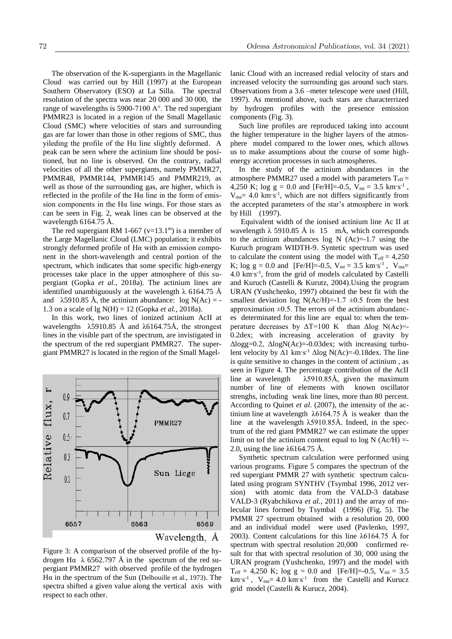The observation of the K-supergiants in the Magellanic Cloud was carried out by Hill (1997) at the European Southern Observatory (ESO) at La Silla. The spectral resolution of the spectra was near 20 000 аnd 30 000, the range of wavelengths is 5900-7100 A°. The red supergiant PMMR23 is located in a region of the Small Magellanic Cloud (SMC) where velocities of stars and surrounding gas are far lower than those in other regions of SMC, thus yileding the profile of the Нα line slightly deformed. A peak can be seen where the actinium line should be positioned, but no line is observed. On the contrary, radial velocities of all the other supergiants, namely PMMR27, PMMR48, PMMR144, PMMR145 and PMMR219, as well as those of the surrounding gas, are higher, which is reflected in the profile of the Нα line in the form of emission components in the  $Ha$  line wings. For those stars as can be seen in Fig. 2, weak lines can be observed at the wavelength 6164.75 Å.

The red supergiant RM 1-667 ( $v=13.1<sup>m</sup>$ ) is a member of the Large Magellanic Cloud (LMC) population; it exhibits strongly deformed profile of Нα with an emission component in the short-wavelength and central portion of the spectrum, which indicates that some specific high-energy processes take place in the upper atmosphere of this supergiant (Gopka *et al.,* 2018a). The actinium lines are identified unambiguously at the wavelength  $\lambda$  6164.75 Å and  $\lambda$ 5910.85 Å, the actinium abundance: log N(Ac) = -1.3 on a scale of lg N(H) = 12 (Gopka *et al.,* 2018a).

In this work, two lines of ionized actinium AcII at wavelengths λ5910.85 Å and λ6164.75Å, the strongest lines in the visible part of the spectrum, are invistigated in the spectrum of the red supergiant PMMR27. The supergiant PMMR27 is located in the region of the Small Magel-



Figure 3: A comparison of the observed profile of the hydrogen Hα  $\lambda$  6562.797 Å in the spectrum of the red supergiant PMMR27 with observed profile of the hydrogen H $\alpha$  in the spectrum of the Sun (Delbouille et al., 1973). The spectra shifted a given value along the vertical axis with respect to each other.

lanic Cloud with an increased redial velocity of stars and increased velocity the surrounding gas around such stars. Observations from a 3.6 –meter telescope were used (Hill, 1997). As mentiond above, such stars are characterrized by hydrogen profiles with the presence emission components (Fig. 3).

Such line profiles are reproduced taking into account the higher temperature in the higher layers of the atmosphere model compared to the lower ones, which allows us to make assumptions about the course of some highenergy accretion processes in such atmospheres.

In the study of the actinium abundances in the atmosphere PMMR27 used a model with parameters  $T_{\text{eff}} =$ 4,250 K; log  $g = 0.0$  and [Fe/H]=-0.5,  $V_{mi} = 3.5$  km·s<sup>-1</sup>,  $V_{\text{ma}}$  = 4.0 km·s<sup>-1</sup>, which are not differs significantly from the accepted parameters of the star's atmosphere in work by Hill (1997).

Equivalent width of the ionised actinium line Ac II at wavelength  $\lambda$  5910.85 Å is 15 mÅ, which corresponds to the actinium abundances  $log N$  (Ac)=-1.7 using the Kuruch program WIDTH-9. Syntetic spectrum was used to calculate the content using the model with  $T_{\text{eff}} = 4,250$ K; log  $g = 0.0$  and [Fe/H]=-0.5,  $V_{mi} = 3.5$  km·s<sup>-1</sup>,  $V_{ma} =$ 4.0 km·s -1 , from the grid of models calculated by Castelli and Kuruch (Castelli & Kurutz, 2004).Using the program URAN (Yushchenko, 1997) obtained the best fit with the smallest deviation log N(Ac/H)=-1.7  $\pm$ 0.5 from the best approximation  $\pm 0.5$ . The errors of the actinium abundances determinated for this line are equal to: when the temperature decreases by  $\Delta T = 100$  K than  $\Delta \log N(Ac) = -$ 0.2dex; with increasing acceleration of gravity by Δlogg=0.2, ΔlogN(Ac)=-0.03dex; with increasing turbulent velocity by  $\Delta 1 \text{ km/s}^{-1} \Delta \log N(\text{Ac}) = 0.18 \text{ dex}$ . The line is quite sensitive to changes in the content of actinium , as seen in Figure 4. The percentage contribution of the AcII line at wavelength  $\lambda$ 5910.85Å, given the maximum number of line of elements with known oscillator strenghs, including weak line lines, more than 80 percent. According to Quinet *et al*. (2007), the intensity of the actinium line at wavelength  $λ6164.75 Å$  is weaker than the line at the wavelength λ5910.85Å. Indeed, in the spectrum of the red giant PMMR27 we can estimate the upper limit on tof the actinium content equal to  $log N (Ac/H)$  =-2.0, using the line λ6164.75 Å.

Synthetic spectrum calculation were performed using various programs. Figure 5 compares the spectrum of the red supergiant PMMR 27 with synthetic spectrum calculated using program SYNTHV (Tsymbal 1996, 2012 version) with atomic data from the VALD-3 database VALD-3 (Ryabchikova *et al.,* 2011) and the array of molecular lines formed by Tsymbal (1996) (Fig. 5). The PMMR 27 spectrum obtained with a resolution 20, 000 and an individual model were used (Pavlenko, 1997, 2003). Content calculations for this line λ6164.75 Å for spectrum with spectral resolution 20,000 confirmed result for that with spectral resolution of 30, 000 using the URAN program (Yushchenko, 1997) and the model with  $T_{\text{eff}} = 4,250 \text{ K}$ ; log g = 0.0 and [Fe/H]=-0.5, V<sub>mi</sub> = 3.5  $km\cdot s^{-1}$ ,  $V_{ma} = 4.0 \ km\cdot s^{-1}$  from the Castelli and Kurucz grid model (Castelli & Kurucz, 2004).